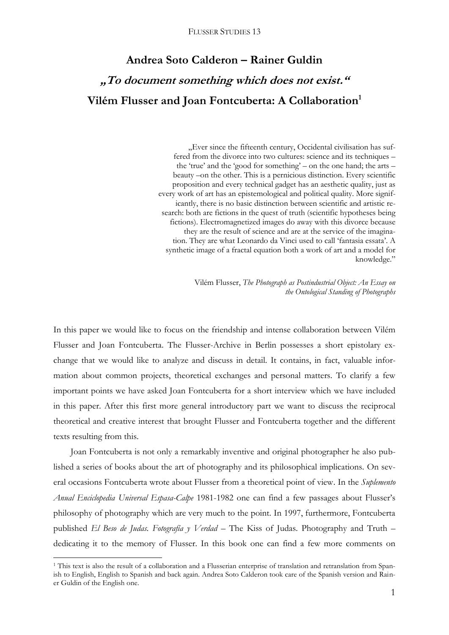# **Andrea Soto Calderon – Rainer Guldin "To document something which does not exist." Vilém Flusser and Joan Fontcuberta: A Collaboration<sup>1</sup>**

"Ever since the fifteenth century, Occidental civilisation has suffered from the divorce into two cultures: science and its techniques – the 'true' and the 'good for something' – on the one hand; the arts – beauty –on the other. This is a pernicious distinction. Every scientific proposition and every technical gadget has an aesthetic quality, just as every work of art has an epistemological and political quality. More significantly, there is no basic distinction between scientific and artistic research: both are fictions in the quest of truth (scientific hypotheses being fictions). Electromagnetized images do away with this divorce because they are the result of science and are at the service of the imagination. They are what Leonardo da Vinci used to call 'fantasia essata'. A synthetic image of a fractal equation both a work of art and a model for knowledge."

> Vilém Flusser, *The Photograph as Postindustrial Object: An Essay on the Ontological Standing of Photographs*

In this paper we would like to focus on the friendship and intense collaboration between Vilém Flusser and Joan Fontcuberta. The Flusser-Archive in Berlin possesses a short epistolary exchange that we would like to analyze and discuss in detail. It contains, in fact, valuable information about common projects, theoretical exchanges and personal matters. To clarify a few important points we have asked Joan Fontcuberta for a short interview which we have included in this paper. After this first more general introductory part we want to discuss the reciprocal theoretical and creative interest that brought Flusser and Fontcuberta together and the different texts resulting from this.

Joan Fontcuberta is not only a remarkably inventive and original photographer he also published a series of books about the art of photography and its philosophical implications. On several occasions Fontcuberta wrote about Flusser from a theoretical point of view. In the *Suplemento Anual Enciclopedia Universal Espasa-Calpe* 1981-1982 one can find a few passages about Flusser's philosophy of photography which are very much to the point. In 1997, furthermore, Fontcuberta published *El Beso de Judas. Fotografía y Verdad* – The Kiss of Judas. Photography and Truth – dedicating it to the memory of Flusser. In this book one can find a few more comments on

<sup>&</sup>lt;sup>1</sup> This text is also the result of a collaboration and a Flusserian enterprise of translation and retranslation from Spanish to English, English to Spanish and back again. Andrea Soto Calderon took care of the Spanish version and Rainer Guldin of the English one.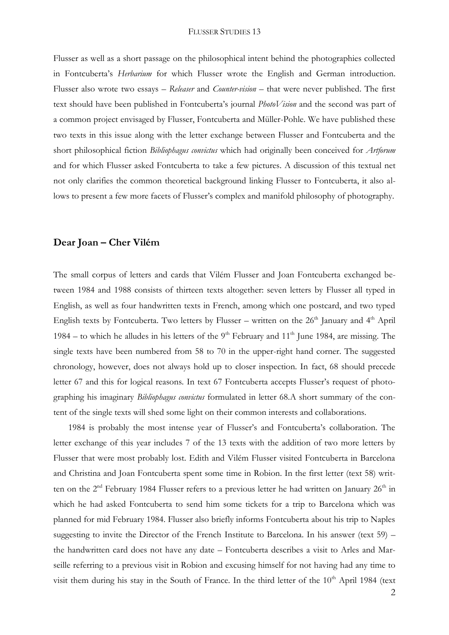Flusser as well as a short passage on the philosophical intent behind the photographies collected in Fontcuberta's *Herbarium* for which Flusser wrote the English and German introduction. Flusser also wrote two essays – *Releaser* and *Counter-vision* – that were never published. The first text should have been published in Fontcuberta's journal *PhotoVision* and the second was part of a common project envisaged by Flusser, Fontcuberta and Müller-Pohle. We have published these two texts in this issue along with the letter exchange between Flusser and Fontcuberta and the short philosophical fiction *Bibliophagus convictus* which had originally been conceived for *Artforum* and for which Flusser asked Fontcuberta to take a few pictures. A discussion of this textual net not only clarifies the common theoretical background linking Flusser to Fontcuberta, it also allows to present a few more facets of Flusser's complex and manifold philosophy of photography.

## **Dear Joan – Cher Vilém**

The small corpus of letters and cards that Vilém Flusser and Joan Fontcuberta exchanged between 1984 and 1988 consists of thirteen texts altogether: seven letters by Flusser all typed in English, as well as four handwritten texts in French, among which one postcard, and two typed English texts by Fontcuberta. Two letters by Flusser – written on the  $26<sup>th</sup>$  January and  $4<sup>th</sup>$  April 1984 – to which he alludes in his letters of the  $9<sup>th</sup>$  February and  $11<sup>th</sup>$  June 1984, are missing. The single texts have been numbered from 58 to 70 in the upper-right hand corner. The suggested chronology, however, does not always hold up to closer inspection. In fact, 68 should precede letter 67 and this for logical reasons. In text 67 Fontcuberta accepts Flusser's request of photographing his imaginary *Bibliophagus convictus* formulated in letter 68.A short summary of the content of the single texts will shed some light on their common interests and collaborations.

1984 is probably the most intense year of Flusser's and Fontcuberta's collaboration. The letter exchange of this year includes 7 of the 13 texts with the addition of two more letters by Flusser that were most probably lost. Edith and Vilém Flusser visited Fontcuberta in Barcelona and Christina and Joan Fontcuberta spent some time in Robion. In the first letter (text 58) written on the  $2<sup>nd</sup>$  February 1984 Flusser refers to a previous letter he had written on January  $26<sup>th</sup>$  in which he had asked Fontcuberta to send him some tickets for a trip to Barcelona which was planned for mid February 1984. Flusser also briefly informs Fontcuberta about his trip to Naples suggesting to invite the Director of the French Institute to Barcelona. In his answer (text 59) – the handwritten card does not have any date – Fontcuberta describes a visit to Arles and Marseille referring to a previous visit in Robion and excusing himself for not having had any time to visit them during his stay in the South of France. In the third letter of the  $10<sup>th</sup>$  April 1984 (text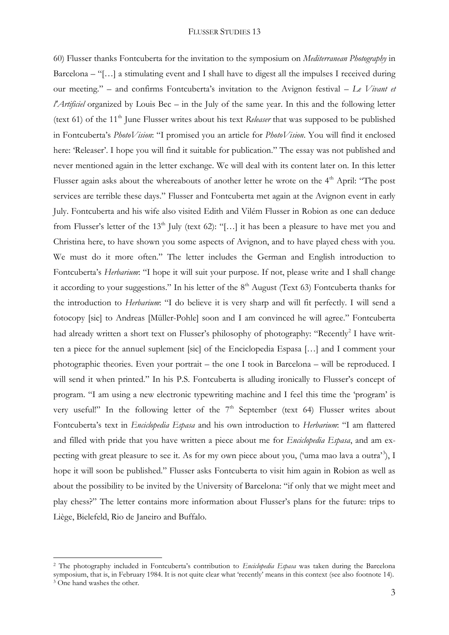60) Flusser thanks Fontcuberta for the invitation to the symposium on *Mediterranean Photography* in Barcelona – "[…] a stimulating event and I shall have to digest all the impulses I received during our meeting." – and confirms Fontcuberta's invitation to the Avignon festival – *Le Vivant et l'Artificiel* organized by Louis Bec – in the July of the same year. In this and the following letter (text 61) of the 11<sup>th</sup> June Flusser writes about his text *Releaser* that was supposed to be published in Fontcuberta's *PhotoVision*: "I promised you an article for *PhotoVision*. You will find it enclosed here: 'Releaser'. I hope you will find it suitable for publication." The essay was not published and never mentioned again in the letter exchange. We will deal with its content later on. In this letter Flusser again asks about the whereabouts of another letter he wrote on the 4<sup>th</sup> April: "The post services are terrible these days." Flusser and Fontcuberta met again at the Avignon event in early July. Fontcuberta and his wife also visited Edith and Vilém Flusser in Robion as one can deduce from Flusser's letter of the  $13<sup>th</sup>$  July (text 62): "[...] it has been a pleasure to have met you and Christina here, to have shown you some aspects of Avignon, and to have played chess with you. We must do it more often." The letter includes the German and English introduction to Fontcuberta's *Herbarium*: "I hope it will suit your purpose. If not, please write and I shall change it according to your suggestions." In his letter of the  $8<sup>th</sup>$  August (Text 63) Fontcuberta thanks for the introduction to *Herbarium*: "I do believe it is very sharp and will fit perfectly. I will send a fotocopy [sic] to Andreas [Müller-Pohle] soon and I am convinced he will agree." Fontcuberta had already written a short text on Flusser's philosophy of photography: "Recently<sup>2</sup> I have written a piece for the annuel suplement [sic] of the Enciclopedia Espasa […] and I comment your photographic theories. Even your portrait – the one I took in Barcelona – will be reproduced. I will send it when printed." In his P.S. Fontcuberta is alluding ironically to Flusser's concept of program. "I am using a new electronic typewriting machine and I feel this time the 'program' is very useful!" In the following letter of the  $7<sup>th</sup>$  September (text 64) Flusser writes about Fontcuberta's text in *Enciclopedia Espasa* and his own introduction to *Herbarium*: "I am flattered and filled with pride that you have written a piece about me for *Enciclopedia Espasa*, and am expecting with great pleasure to see it. As for my own piece about you, ('uma mao lava a outra'<sup>3</sup>), I hope it will soon be published." Flusser asks Fontcuberta to visit him again in Robion as well as about the possibility to be invited by the University of Barcelona: "if only that we might meet and play chess?" The letter contains more information about Flusser's plans for the future: trips to Liège, Bielefeld, Rio de Janeiro and Buffalo.

<sup>2</sup> The photography included in Fontcuberta's contribution to *Enciclopedia Espasa* was taken during the Barcelona symposium, that is, in February 1984. It is not quite clear what 'recently' means in this context (see also footnote 14). <sup>3</sup> One hand washes the other.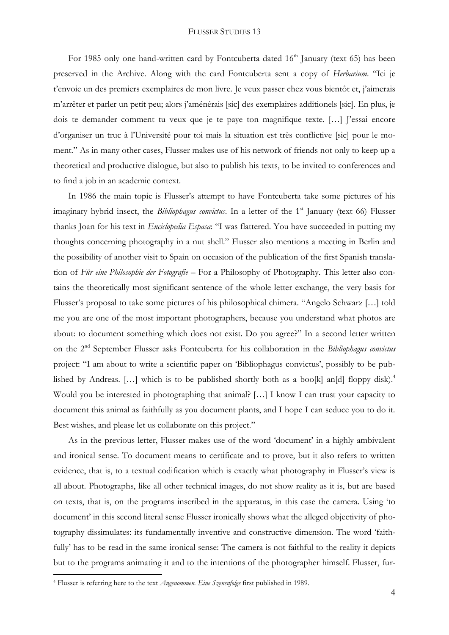For 1985 only one hand-written card by Fontcuberta dated  $16<sup>th</sup>$  January (text 65) has been preserved in the Archive. Along with the card Fontcuberta sent a copy of *Herbarium*. "Ici je t'envoie un des premiers exemplaires de mon livre. Je veux passer chez vous bientôt et, j'aimerais m'arrêter et parler un petit peu; alors j'aménérais [sic] des exemplaires additionels [sic]. En plus, je dois te demander comment tu veux que je te paye ton magnifique texte. […] J'essai encore d'organiser un truc à l'Université pour toi mais la situation est très conflictive [sic] pour le moment." As in many other cases, Flusser makes use of his network of friends not only to keep up a theoretical and productive dialogue, but also to publish his texts, to be invited to conferences and to find a job in an academic context.

In 1986 the main topic is Flusser's attempt to have Fontcuberta take some pictures of his imaginary hybrid insect, the *Bibliophagus convictus*. In a letter of the 1<sup>st</sup> January (text 66) Flusser thanks Joan for his text in *Enciclopedia Espasa*: "I was flattered. You have succeeded in putting my thoughts concerning photography in a nut shell." Flusser also mentions a meeting in Berlin and the possibility of another visit to Spain on occasion of the publication of the first Spanish translation of *Für eine Philosophie der Fotografie* – For a Philosophy of Photography*.* This letter also contains the theoretically most significant sentence of the whole letter exchange, the very basis for Flusser's proposal to take some pictures of his philosophical chimera. "Angelo Schwarz […] told me you are one of the most important photographers, because you understand what photos are about: to document something which does not exist. Do you agree?" In a second letter written on the 2nd September Flusser asks Fontcuberta for his collaboration in the *Bibliophagus convictus* project: "I am about to write a scientific paper on 'Bibliophagus convictus', possibly to be published by Andreas. [...] which is to be published shortly both as a boo[k] an[d] floppy disk).<sup>4</sup> Would you be interested in photographing that animal? [...] I know I can trust your capacity to document this animal as faithfully as you document plants, and I hope I can seduce you to do it. Best wishes, and please let us collaborate on this project."

As in the previous letter, Flusser makes use of the word 'document' in a highly ambivalent and ironical sense. To document means to certificate and to prove, but it also refers to written evidence, that is, to a textual codification which is exactly what photography in Flusser's view is all about. Photographs, like all other technical images, do not show reality as it is, but are based on texts, that is, on the programs inscribed in the apparatus, in this case the camera. Using 'to document' in this second literal sense Flusser ironically shows what the alleged objectivity of photography dissimulates: its fundamentally inventive and constructive dimension. The word 'faithfully' has to be read in the same ironical sense: The camera is not faithful to the reality it depicts but to the programs animating it and to the intentions of the photographer himself. Flusser, fur-

<sup>4</sup> Flusser is referring here to the text *Angenommen. Eine Szenenfolge* first published in 1989.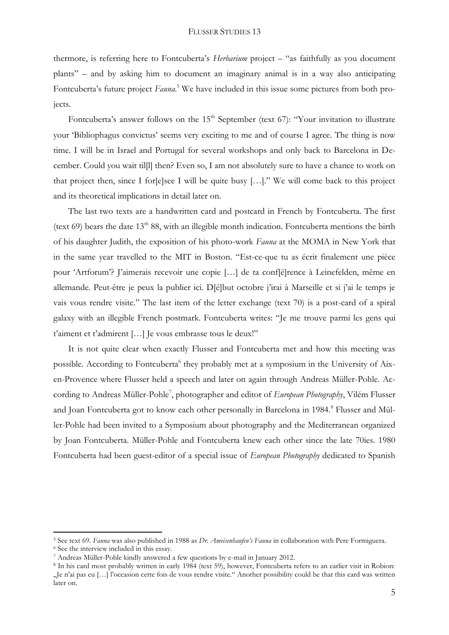thermore, is referring here to Fontcuberta's *Herbarium* project – "as faithfully as you document plants" – and by asking him to document an imaginary animal is in a way also anticipating Fontcuberta's future project *Fauna*. <sup>5</sup> We have included in this issue some pictures from both projects.

Fontcuberta's answer follows on the  $15<sup>th</sup>$  September (text 67): "Your invitation to illustrate your 'Bibliophagus convictus' seems very exciting to me and of course I agree. The thing is now time. I will be in Israel and Portugal for several workshops and only back to Barcelona in December. Could you wait til[l] then? Even so, I am not absolutely sure to have a chance to work on that project then, since I for[e]see I will be quite busy […]." We will come back to this project and its theoretical implications in detail later on.

The last two texts are a handwritten card and postcard in French by Fontcuberta. The first (text 69) bears the date  $13<sup>th</sup> 88$ , with an illegible month indication. Fontcuberta mentions the birth of his daughter Judith, the exposition of his photo-work *Fauna* at the MOMA in New York that in the same year travelled to the MIT in Boston. "Est-ce-que tu as écrit finalement une pièce pour 'Artforum'? J'aimerais recevoir une copie […] de ta conf[é]rence à Leinefelden, même en allemande. Peut-être je peux la publier ici. D[é]but octobre j'irai à Marseille et si j'ai le temps je vais vous rendre visite." The last item of the letter exchange (text 70) is a post-card of a spiral galaxy with an illegible French postmark. Fontcuberta writes: "Je me trouve parmi les gens qui t'aiment et t'admirent […] Je vous embrasse tous le deux!"

It is not quite clear when exactly Flusser and Fontcuberta met and how this meeting was possible. According to Fontcuberta<sup>6</sup> they probably met at a symposium in the University of Aixen-Provence where Flusser held a speech and later on again through Andreas Müller-Pohle. According to Andreas Müller-Pohle<sup>7</sup>, photographer and editor of *European Photography*, Vilém Flusser and Joan Fontcuberta got to know each other personally in Barcelona in 1984.<sup>8</sup> Flusser and Müller-Pohle had been invited to a Symposium about photography and the Mediterranean organized by Joan Fontcuberta. Müller-Pohle and Fontcuberta knew each other since the late 70ies. 1980 Fontcuberta had been guest-editor of a special issue of *European Photography* dedicated to Spanish

<sup>5</sup> See text 69. *Fauna* was also published in 1988 as *Dr. Ameisenhaufen's Fauna* in collaboration with Pere Formiguera.

<sup>6</sup> See the interview included in this essay.

<sup>7</sup> Andreas Müller-Pohle kindly answered a few questions by e-mail in January 2012.

<sup>8</sup> In his card most probably written in early 1984 (text 59), however, Fontcuberta refers to an earlier visit in Robion: "Je n'ai pas eu [...] l'occasion cette fois de vous rendre visite." Another possibility could be that this card was written later on.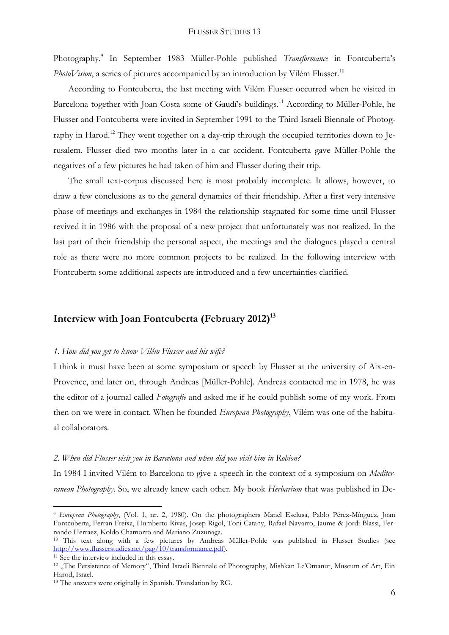Photography.<sup>9</sup> In September 1983 Müller-Pohle published *Transformance* in Fontcuberta's *PhotoVision*, a series of pictures accompanied by an introduction by Vilém Flusser.<sup>10</sup>

According to Fontcuberta, the last meeting with Vilém Flusser occurred when he visited in Barcelona together with Joan Costa some of Gaudí's buildings.<sup>11</sup> According to Müller-Pohle, he Flusser and Fontcuberta were invited in September 1991 to the Third Israeli Biennale of Photography in Harod.<sup>12</sup> They went together on a day-trip through the occupied territories down to Jerusalem. Flusser died two months later in a car accident. Fontcuberta gave Müller-Pohle the negatives of a few pictures he had taken of him and Flusser during their trip.

The small text-corpus discussed here is most probably incomplete. It allows, however, to draw a few conclusions as to the general dynamics of their friendship. After a first very intensive phase of meetings and exchanges in 1984 the relationship stagnated for some time until Flusser revived it in 1986 with the proposal of a new project that unfortunately was not realized. In the last part of their friendship the personal aspect, the meetings and the dialogues played a central role as there were no more common projects to be realized. In the following interview with Fontcuberta some additional aspects are introduced and a few uncertainties clarified.

# **Interview with Joan Fontcuberta (February 2012)<sup>13</sup>**

#### *1. How did you get to know Vilém Flusser and his wife?*

I think it must have been at some symposium or speech by Flusser at the university of Aix-en-Provence, and later on, through Andreas [Müller-Pohle]. Andreas contacted me in 1978, he was the editor of a journal called *Fotografie* and asked me if he could publish some of my work. From then on we were in contact. When he founded *European Photography*, Vilém was one of the habitual collaborators.

#### *2. When did Flusser visit you in Barcelona and when did you visit him in Robion?*

In 1984 I invited Vilém to Barcelona to give a speech in the context of a symposium on *Mediterranean Photography*. So, we already knew each other. My book *Herbarium* that was published in De-

<sup>9</sup> *European Photography*, (Vol. 1, nr. 2, 1980). On the photographers Manel Esclusa, Pablo Pérez-Mínguez, Joan Fontcuberta, Ferran Freixa, Humberto Rivas, Josep Rigol, Toni Catany, Rafael Navarro, Jaume & Jordi Blassi, Fernando Herraez, Koldo Chamorro and Mariano Zuzunaga.

<sup>10</sup> This text along with a few pictures by Andreas Müller-Pohle was published in Flusser Studies (see [http://www.flusserstudies.net/pag/10/transformance.pdf\)](http://www.flusserstudies.net/pag/10/transformance.pdf).

<sup>&</sup>lt;sup>11</sup> See the interview included in this essay.

<sup>&</sup>lt;sup>12</sup> "The Persistence of Memory", Third Israeli Biennale of Photography, Mishkan Le'Omanut, Museum of Art, Ein Harod, Israel.

<sup>13</sup> The answers were originally in Spanish. Translation by RG.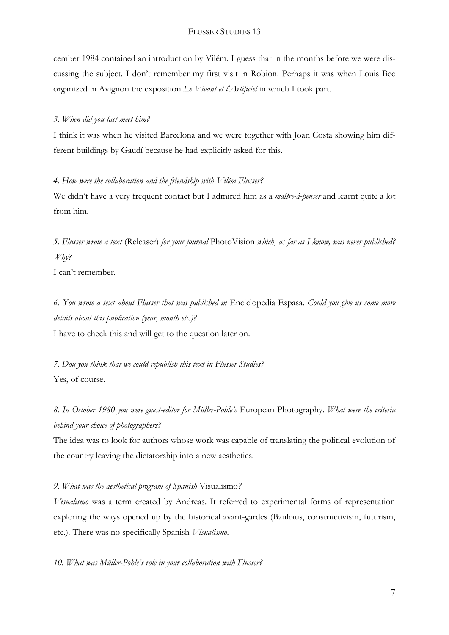cember 1984 contained an introduction by Vilém. I guess that in the months before we were discussing the subject. I don't remember my first visit in Robion. Perhaps it was when Louis Bec organized in Avignon the exposition *Le Vivant et l'Artificiel* in which I took part.

#### *3. When did you last meet him?*

I think it was when he visited Barcelona and we were together with Joan Costa showing him different buildings by Gaudí because he had explicitly asked for this.

## *4. How were the collaboration and the friendship with Vilém Flusser?*

We didn't have a very frequent contact but I admired him as a *maître-à-penser* and learnt quite a lot from him.

*5. Flusser wrote a text* (Releaser) *for your journal* PhotoVision *which, as far as I know, was never published? Why?*

I can't remember.

*6. You wrote a text about Flusser that was published in* Enciclopedia Espasa*. Could you give us some more details about this publication (year, month etc.)?*

I have to check this and will get to the question later on.

*7. Dou you think that we could republish this text in Flusser Studies?* Yes, of course.

*8. In October 1980 you were guest-editor for Müller-Pohle's* European Photography*. What were the criteria behind your choice of photographers?*

The idea was to look for authors whose work was capable of translating the political evolution of the country leaving the dictatorship into a new aesthetics.

*9. What was the aesthetical program of Spanish* Visualismo*?*

*Visualismo* was a term created by Andreas. It referred to experimental forms of representation exploring the ways opened up by the historical avant-gardes (Bauhaus, constructivism, futurism, etc.). There was no specifically Spanish *Visualismo*.

*10. What was Müller-Pohle's role in your collaboration with Flusser?*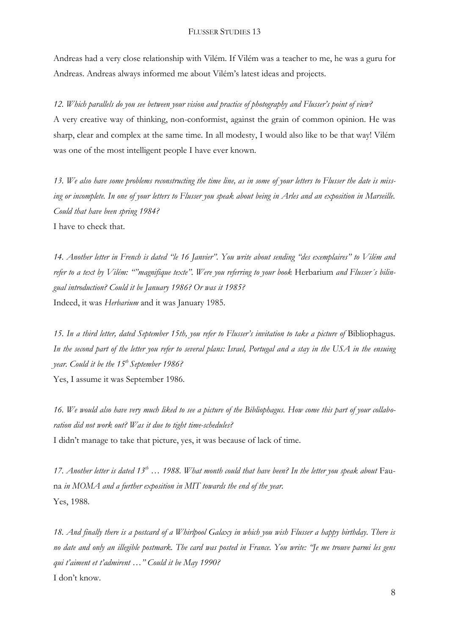Andreas had a very close relationship with Vilém. If Vilém was a teacher to me, he was a guru for Andreas. Andreas always informed me about Vilém's latest ideas and projects.

*12. Which parallels do you see between your vision and practice of photography and Flusser's point of view?*

A very creative way of thinking, non-conformist, against the grain of common opinion. He was sharp, clear and complex at the same time. In all modesty, I would also like to be that way! Vilém was one of the most intelligent people I have ever known.

*13. We also have some problems reconstructing the time line, as in some of your letters to Flusser the date is miss*ing or incomplete. In one of your letters to Flusser you speak about being in Arles and an exposition in Marseille. *Could that have been spring 1984?* I have to check that.

*14. Another letter in French is dated "le 16 Janvier". You write about sending "des exemplaires" to Vilém and*  refer to a text by *Vilém*: ""magnifique texte". Were you referring to your book Herbarium and Flusser's bilin*gual introduction? Could it be January 1986? Or was it 1985?* Indeed, it was *Herbarium* and it was January 1985.

*15. In a third letter, dated September 15th, you refer to Flusser's invitation to take a picture of* Bibliophagus*. In the second part of the letter you refer to several plans: Israel, Portugal and a stay in the USA in the ensuing year. Could it be the 15th September 1986?* Yes, I assume it was September 1986.

*16. We would also have very much liked to see a picture of the Bibliophagus. How come this part of your collaboration did not work out? Was it due to tight time-schedules?* I didn't manage to take that picture, yes, it was because of lack of time.

*17. Another letter is dated 13th … 1988. What month could that have been? In the letter you speak about* Fauna *in MOMA and a further exposition in MIT towards the end of the year.* Yes, 1988.

*18. And finally there is a postcard of a Whirlpool Galaxy in which you wish Flusser a happy birthday. There is no date and only an illegible postmark. The card was posted in France. You write: "Je me trouve parmi les gens qui t'aiment et t'admirent …" Could it be May 1990?* I don't know.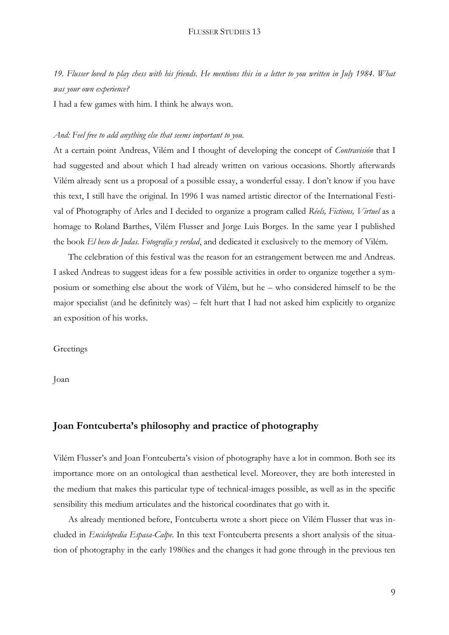*19. Flusser loved to play chess with his friends. He mentions this in a letter to you written in July 1984. What was your own experience?*

I had a few games with him. I think he always won.

#### *And: Feel free to add anything else that seems important to you.*

At a certain point Andreas, Vilém and I thought of developing the concept of *Contravisión* that I had suggested and about which I had already written on various occasions. Shortly afterwards Vilém already sent us a proposal of a possible essay, a wonderful essay. I don't know if you have this text, I still have the original. In 1996 I was named artistic director of the International Festival of Photography of Arles and I decided to organize a program called *Réels, Fictions, Virtuel* as a homage to Roland Barthes, Vilém Flusser and Jorge Luis Borges. In the same year I published the book *El beso de Judas. Fotografía y verdad*, and dedicated it exclusively to the memory of Vilém.

The celebration of this festival was the reason for an estrangement between me and Andreas. I asked Andreas to suggest ideas for a few possible activities in order to organize together a symposium or something else about the work of Vilém, but he – who considered himself to be the major specialist (and he definitely was) – felt hurt that I had not asked him explicitly to organize an exposition of his works.

#### **Greetings**

Joan

# **Joan Fontcuberta's philosophy and practice of photography**

Vilém Flusser's and Joan Fontcuberta's vision of photography have a lot in common. Both see its importance more on an ontological than aesthetical level. Moreover, they are both interested in the medium that makes this particular type of technical-images possible, as well as in the specific sensibility this medium articulates and the historical coordinates that go with it.

As already mentioned before, Fontcuberta wrote a short piece on Vilém Flusser that was included in *Enciclopedia Espasa-Calpe*. In this text Fontcuberta presents a short analysis of the situation of photography in the early 1980ies and the changes it had gone through in the previous ten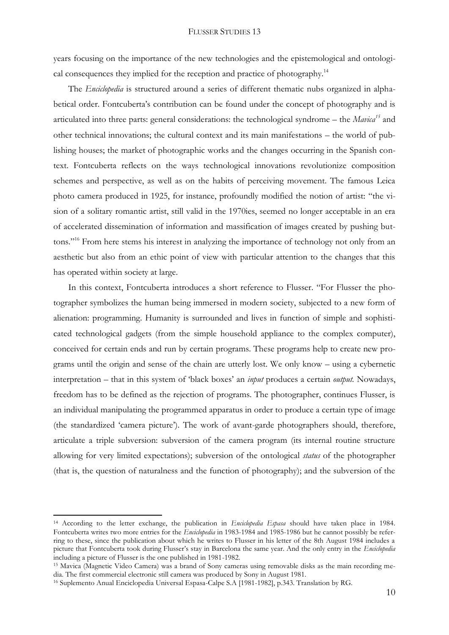years focusing on the importance of the new technologies and the epistemological and ontological consequences they implied for the reception and practice of photography.<sup>14</sup>

The *Enciclopedia* is structured around a series of different thematic nubs organized in alphabetical order. Fontcuberta's contribution can be found under the concept of photography and is articulated into three parts: general considerations: the technological syndrome – the *Mavica<sup>15</sup>* and other technical innovations; the cultural context and its main manifestations – the world of publishing houses; the market of photographic works and the changes occurring in the Spanish context. Fontcuberta reflects on the ways technological innovations revolutionize composition schemes and perspective, as well as on the habits of perceiving movement. The famous Leica photo camera produced in 1925, for instance, profoundly modified the notion of artist: "the vision of a solitary romantic artist, still valid in the 1970ies, seemed no longer acceptable in an era of accelerated dissemination of information and massification of images created by pushing buttons."<sup>16</sup> From here stems his interest in analyzing the importance of technology not only from an aesthetic but also from an ethic point of view with particular attention to the changes that this has operated within society at large.

In this context, Fontcuberta introduces a short reference to Flusser. "For Flusser the photographer symbolizes the human being immersed in modern society, subjected to a new form of alienation: programming. Humanity is surrounded and lives in function of simple and sophisticated technological gadgets (from the simple household appliance to the complex computer), conceived for certain ends and run by certain programs. These programs help to create new programs until the origin and sense of the chain are utterly lost. We only know – using a cybernetic interpretation – that in this system of 'black boxes' an *input* produces a certain *output.* Nowadays, freedom has to be defined as the rejection of programs. The photographer, continues Flusser, is an individual manipulating the programmed apparatus in order to produce a certain type of image (the standardized 'camera picture'). The work of avant-garde photographers should, therefore, articulate a triple subversion: subversion of the camera program (its internal routine structure allowing for very limited expectations); subversion of the ontological *status* of the photographer (that is, the question of naturalness and the function of photography); and the subversion of the

<sup>14</sup> According to the letter exchange, the publication in *Enciclopedia Espasa* should have taken place in 1984. Fontcuberta writes two more entries for the *Enciclopedia* in 1983-1984 and 1985-1986 but he cannot possibly be referring to these, since the publication about which he writes to Flusser in his letter of the 8th August 1984 includes a picture that Fontcuberta took during Flusser's stay in Barcelona the same year. And the only entry in the *Enciclopedia* including a picture of Flusser is the one published in 1981-1982.

<sup>15</sup> Mavica (Magnetic Video Camera) was a brand of [Sony](http://en.wikipedia.org/wiki/Sony) [cameras](http://en.wikipedia.org/wiki/Camera) using removable disks as the main recording media. The first commercial electronic still camera was produced by Sony in August 1981.

<sup>16</sup> Suplemento Anual Enciclopedia Universal Espasa-Calpe S.A [1981-1982], p.343. Translation by RG.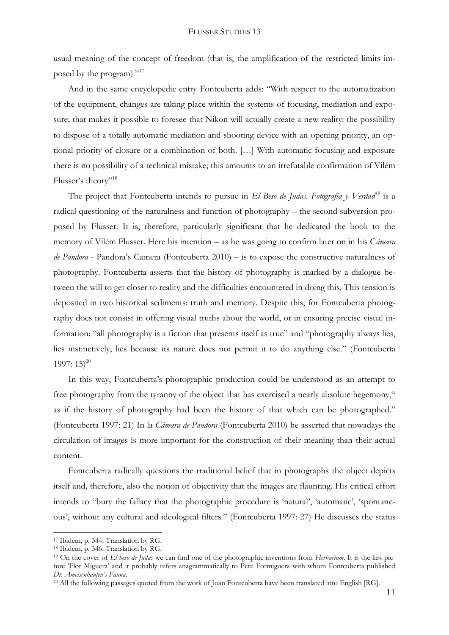usual meaning of the concept of freedom (that is, the amplification of the restricted limits imposed by the program)."<sup>17</sup>

And in the same encyclopedic entry Fontcuberta adds: "With respect to the automatization of the equipment, changes are taking place within the systems of focusing, mediation and exposure; that makes it possible to foresee that Nikon will actually create a new reality: the possibility to dispose of a totally automatic mediation and shooting device with an opening priority, an optional priority of closure or a combination of both. […] With automatic focusing and exposure there is no possibility of a technical mistake; this amounts to an irrefutable confirmation of Vilém Flusser's theory"<sup>18</sup>

The project that Fontcuberta intends to pursue in *El Beso de Judas. Fotografía y Verdad<sup>19</sup>* is a radical questioning of the naturalness and function of photography – the second subversion proposed by Flusser. It is, therefore, particularly significant that he dedicated the book to the memory of Vilém Flusser. Here his intention – as he was going to confirm later on in his C*ámara de Pandora* - Pandora's Camera (Fontcuberta 2010) *–* is to expose the constructive naturalness of photography. Fontcuberta asserts that the history of photography is marked by a dialogue between the will to get closer to reality and the difficulties encountered in doing this. This tension is deposited in two historical sediments: truth and memory. Despite this, for Fontcuberta photography does not consist in offering visual truths about the world, or in ensuring precise visual information: "all photography is a fiction that presents itself as true" and "photography always lies, lies instinctively, lies because its nature does not permit it to do anything else." (Fontcuberta 1997:  $15)^{20}$ 

In this way, Fontcuberta's photographic production could be understood as an attempt to free photography from the tyranny of the object that has exercised a nearly absolute hegemony," as if the history of photography had been the history of that which can be photographed." (Fontcuberta 1997: 21) In la *Cámara de Pandora* (Fontcuberta 2010) he asserted that nowadays the circulation of images is more important for the construction of their meaning than their actual content.

Fontcuberta radically questions the traditional belief that in photographs the object depicts itself and, therefore, also the notion of objectivity that the images are flaunting. His critical effort intends to "bury the fallacy that the photographic procedure is 'natural', 'automatic', 'spontaneous', without any cultural and ideological filters." (Fontcuberta 1997: 27) He discusses the status

<sup>17</sup> Ibidem, p. 344. Translation by RG.

<sup>18</sup> Ibidem, p. 346. Translation by RG.

<sup>19</sup> On the cover of *El beso de Judas* we can find one of the photographic inventions from *Herbarium*. It is the last picture 'Flor Miguera' and it probably refers anagrammatically to Pere Formiguera with whom Fontcuberta published *Dr. Ameisenhaufen's Fauna.*

<sup>&</sup>lt;sup>20</sup> All the following passages quoted from the work of Joan Fontcuberta have been translated into English [RG].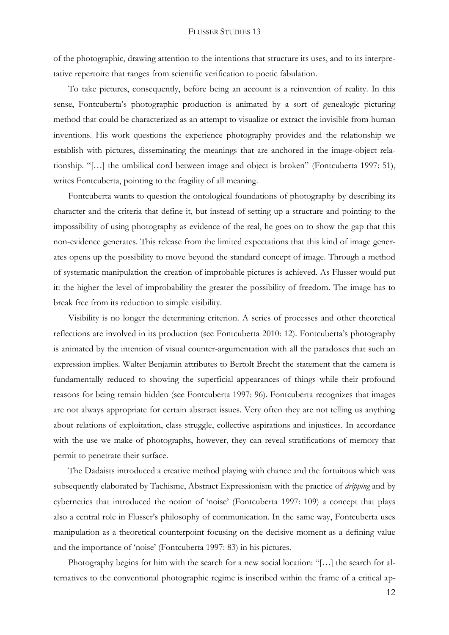of the photographic, drawing attention to the intentions that structure its uses, and to its interpretative repertoire that ranges from scientific verification to poetic fabulation.

To take pictures, consequently, before being an account is a reinvention of reality. In this sense, Fontcuberta's photographic production is animated by a sort of genealogic picturing method that could be characterized as an attempt to visualize or extract the invisible from human inventions. His work questions the experience photography provides and the relationship we establish with pictures, disseminating the meanings that are anchored in the image-object relationship. "[…] the umbilical cord between image and object is broken" (Fontcuberta 1997: 51), writes Fontcuberta, pointing to the fragility of all meaning.

Fontcuberta wants to question the ontological foundations of photography by describing its character and the criteria that define it, but instead of setting up a structure and pointing to the impossibility of using photography as evidence of the real, he goes on to show the gap that this non-evidence generates. This release from the limited expectations that this kind of image generates opens up the possibility to move beyond the standard concept of image. Through a method of systematic manipulation the creation of improbable pictures is achieved. As Flusser would put it: the higher the level of improbability the greater the possibility of freedom. The image has to break free from its reduction to simple visibility.

Visibility is no longer the determining criterion. A series of processes and other theoretical reflections are involved in its production (see Fontcuberta 2010: 12). Fontcuberta's photography is animated by the intention of visual counter-argumentation with all the paradoxes that such an expression implies. Walter Benjamin attributes to Bertolt Brecht the statement that the camera is fundamentally reduced to showing the superficial appearances of things while their profound reasons for being remain hidden (see Fontcuberta 1997: 96). Fontcuberta recognizes that images are not always appropriate for certain abstract issues. Very often they are not telling us anything about relations of exploitation, class struggle, collective aspirations and injustices. In accordance with the use we make of photographs, however, they can reveal stratifications of memory that permit to penetrate their surface.

The Dadaists introduced a creative method playing with chance and the fortuitous which was subsequently elaborated by Tachisme, Abstract Expressionism with the practice of *dripping* and by cybernetics that introduced the notion of 'noise' (Fontcuberta 1997: 109) a concept that plays also a central role in Flusser's philosophy of communication. In the same way, Fontcuberta uses manipulation as a theoretical counterpoint focusing on the decisive moment as a defining value and the importance of 'noise' (Fontcuberta 1997: 83) in his pictures.

Photography begins for him with the search for a new social location: "[…] the search for alternatives to the conventional photographic regime is inscribed within the frame of a critical ap-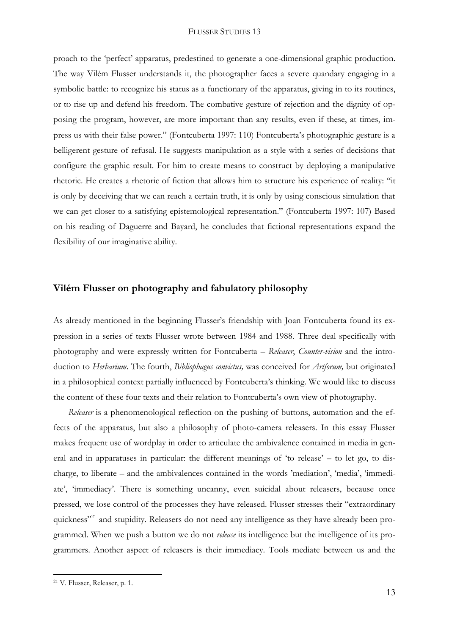proach to the 'perfect' apparatus, predestined to generate a one-dimensional graphic production. The way Vilém Flusser understands it, the photographer faces a severe quandary engaging in a symbolic battle: to recognize his status as a functionary of the apparatus, giving in to its routines, or to rise up and defend his freedom. The combative gesture of rejection and the dignity of opposing the program, however, are more important than any results, even if these, at times, impress us with their false power." (Fontcuberta 1997: 110) Fontcuberta's photographic gesture is a belligerent gesture of refusal. He suggests manipulation as a style with a series of decisions that configure the graphic result. For him to create means to construct by deploying a manipulative rhetoric. He creates a rhetoric of fiction that allows him to structure his experience of reality: "it is only by deceiving that we can reach a certain truth, it is only by using conscious simulation that we can get closer to a satisfying epistemological representation." (Fontcuberta 1997: 107) Based on his reading of Daguerre and Bayard, he concludes that fictional representations expand the flexibility of our imaginative ability.

# **Vilém Flusser on photography and fabulatory philosophy**

As already mentioned in the beginning Flusser's friendship with Joan Fontcuberta found its expression in a series of texts Flusser wrote between 1984 and 1988. Three deal specifically with photography and were expressly written for Fontcuberta – *Releaser*, *Counter-vision* and the introduction to *Herbarium*. The fourth, *Bibliophagus convictus,* was conceived for *Artforum,* but originated in a philosophical context partially influenced by Fontcuberta's thinking. We would like to discuss the content of these four texts and their relation to Fontcuberta's own view of photography.

*Releaser* is a phenomenological reflection on the pushing of buttons, automation and the effects of the apparatus, but also a philosophy of photo-camera releasers. In this essay Flusser makes frequent use of wordplay in order to articulate the ambivalence contained in media in general and in apparatuses in particular: the different meanings of 'to release' – to let go, to discharge, to liberate – and the ambivalences contained in the words 'mediation', 'media', 'immediate', 'immediacy'. There is something uncanny, even suicidal about releasers, because once pressed, we lose control of the processes they have released. Flusser stresses their "extraordinary quickness"<sup>21</sup> and stupidity. Releasers do not need any intelligence as they have already been programmed. When we push a button we do not *release* its intelligence but the intelligence of its programmers. Another aspect of releasers is their immediacy. Tools mediate between us and the

<sup>21</sup> V. Flusser, Releaser, p. 1.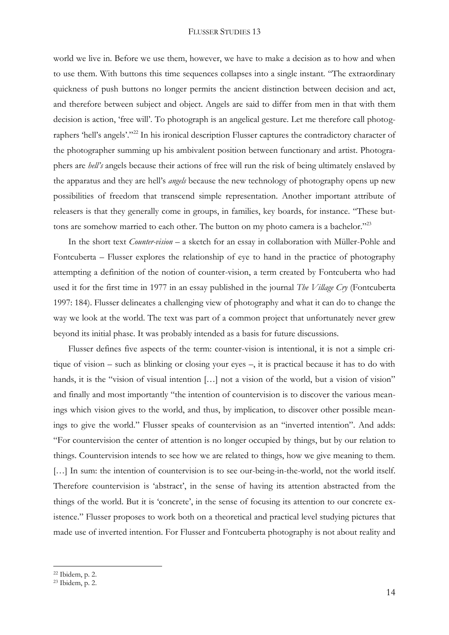world we live in. Before we use them, however, we have to make a decision as to how and when to use them. With buttons this time sequences collapses into a single instant. "The extraordinary quickness of push buttons no longer permits the ancient distinction between decision and act, and therefore between subject and object. Angels are said to differ from men in that with them decision is action, 'free will'. To photograph is an angelical gesture. Let me therefore call photographers 'hell's angels'."<sup>22</sup> In his ironical description Flusser captures the contradictory character of the photographer summing up his ambivalent position between functionary and artist. Photographers are *hell's* angels because their actions of free will run the risk of being ultimately enslaved by the apparatus and they are hell's *angels* because the new technology of photography opens up new possibilities of freedom that transcend simple representation. Another important attribute of releasers is that they generally come in groups, in families, key boards, for instance. "These buttons are somehow married to each other. The button on my photo camera is a bachelor."<sup>23</sup>

In the short text *Counter-vision* – a sketch for an essay in collaboration with Müller-Pohle and Fontcuberta – Flusser explores the relationship of eye to hand in the practice of photography attempting a definition of the notion of counter-vision, a term created by Fontcuberta who had used it for the first time in 1977 in an essay published in the journal *The Village Cry* (Fontcuberta 1997: 184). Flusser delineates a challenging view of photography and what it can do to change the way we look at the world. The text was part of a common project that unfortunately never grew beyond its initial phase. It was probably intended as a basis for future discussions.

Flusser defines five aspects of the term: counter-vision is intentional, it is not a simple critique of vision – such as blinking or closing your eyes –, it is practical because it has to do with hands, it is the "vision of visual intention [...] not a vision of the world, but a vision of vision" and finally and most importantly "the intention of countervision is to discover the various meanings which vision gives to the world, and thus, by implication, to discover other possible meanings to give the world." Flusser speaks of countervision as an "inverted intention". And adds: "For countervision the center of attention is no longer occupied by things, but by our relation to things. Countervision intends to see how we are related to things, how we give meaning to them. [...] In sum: the intention of countervision is to see our-being-in-the-world, not the world itself. Therefore countervision is 'abstract', in the sense of having its attention abstracted from the things of the world. But it is 'concrete', in the sense of focusing its attention to our concrete existence." Flusser proposes to work both on a theoretical and practical level studying pictures that made use of inverted intention. For Flusser and Fontcuberta photography is not about reality and

<sup>22</sup> Ibidem, p. 2.

<sup>23</sup> Ibidem, p. 2.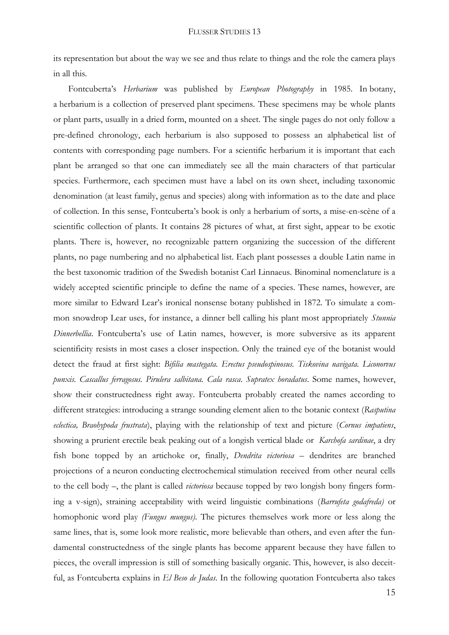its representation but about the way we see and thus relate to things and the role the camera plays in all this.

Fontcuberta's *Herbarium* was published by *European Photography* in 1985. In [botany,](http://en.wikipedia.org/wiki/Botany) a herbarium is a collection of preserved [plant](http://en.wikipedia.org/wiki/Plant) specimens. These specimens may be whole plants or plant parts, usually in a dried form, mounted on a sheet. The single pages do not only follow a pre-defined chronology, each herbarium is also supposed to possess an alphabetical list of contents with corresponding page numbers. For a scientific herbarium it is important that each plant be arranged so that one can immediately see all the main characters of that particular species. Furthermore, each specimen must have a label on its own sheet, including taxonomic denomination (at least family, genus and species) along with information as to the date and place of collection. In this sense, Fontcuberta's book is only a herbarium of sorts, a mise-en-scène of a scientific collection of plants. It contains 28 pictures of what, at first sight, appear to be exotic plants. There is, however, no recognizable pattern organizing the succession of the different plants, no page numbering and no alphabetical list. Each plant possesses a double Latin name in the best taxonomic tradition of the Swedish botanist Carl Linnaeus. Binominal nomenclature is a widely accepted scientific principle to define the name of a species. These names, however, are more similar to Edward Lear's ironical nonsense botany published in 1872. To simulate a common snowdrop Lear uses, for instance, a dinner bell calling his plant most appropriately *Stunnia Dinnerbellia*. Fontcuberta's use of Latin names, however, is more subversive as its apparent scientificity resists in most cases a closer inspection. Only the trained eye of the botanist would detect the fraud at first sight: *Bifilia mastegata. Erectus pseudospinosus. Tiskovina navigata. Liconorvus punxis. Cascallus ferragosus. Pirulera salbitana. Cala rasca*. *Supratex horadatus*. Some names, however, show their constructedness right away. Fontcuberta probably created the names according to different strategies: introducing a strange sounding element alien to the botanic context (*Rasputina eclectica, Braohypoda frustrata*), playing with the relationship of text and picture (*Cornus impatiens*, showing a prurient erectile beak peaking out of a longish vertical blade or *Karchofa sardinae*, a dry fish bone topped by an artichoke or, finally, *Dendrita victoriosa* – dendrites are branched projections of a [neuron](http://en.wikipedia.org/wiki/Neuron) [conducti](http://en.wikipedia.org/wiki/Electrical_conduction)ng [electrochemical](http://en.wikipedia.org/wiki/Electrochemistry) [stimulation](http://en.wikipedia.org/wiki/Stimulation) received from other neural cells to the cell body –, the plant is called *victoriosa* because topped by two longish bony fingers forming a v-sign), straining acceptability with weird linguistic combinations (*Barrufeta godafreda)* or homophonic word play *(Fungus mungus)*. The pictures themselves work more or less along the same lines, that is, some look more realistic, more believable than others, and even after the fundamental constructedness of the single plants has become apparent because they have fallen to pieces, the overall impression is still of something basically organic. This, however, is also deceitful, as Fontcuberta explains in *El Beso de Judas*. In the following quotation Fontcuberta also takes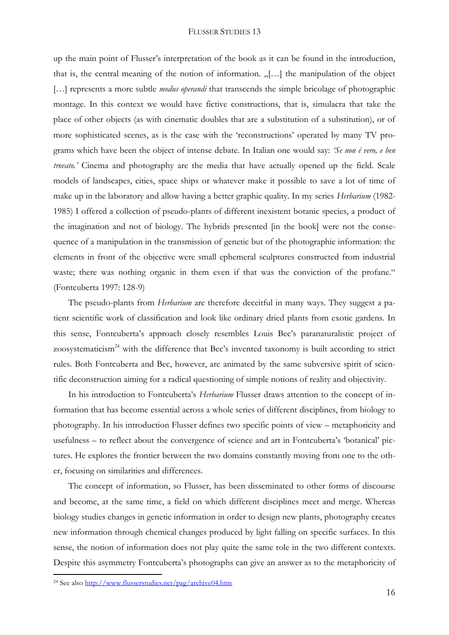up the main point of Flusser's interpretation of the book as it can be found in the introduction, that is, the central meaning of the notion of information.  $\ldots$ [...] the manipulation of the object [...] represents a more subtle *modus operandi* that transcends the simple bricolage of photographic montage. In this context we would have fictive constructions, that is, simulacra that take the place of other objects (as with cinematic doubles that are a substitution of a substitution), or of more sophisticated scenes, as is the case with the 'reconstructions' operated by many TV programs which have been the object of intense debate. In Italian one would say: *'Se non é vero, e ben trovato.'* Cinema and photography are the media that have actually opened up the field. Scale models of landscapes, cities, space ships or whatever make it possible to save a lot of time of make up in the laboratory and allow having a better graphic quality. In my series *Herbarium* (1982- 1985) I offered a collection of pseudo-plants of different inexistent botanic species, a product of the imagination and not of biology. The hybrids presented [in the book] were not the consequence of a manipulation in the transmission of genetic but of the photographic information: the elements in front of the objective were small ephemeral sculptures constructed from industrial waste; there was nothing organic in them even if that was the conviction of the profane." (Fontcuberta 1997: 128-9)

The pseudo-plants from *Herbarium* are therefore deceitful in many ways. They suggest a patient scientific work of classification and look like ordinary dried plants from exotic gardens. In this sense, Fontcuberta's approach closely resembles Louis Bec's paranaturalistic project of zoosystematicism<sup>24</sup> with the difference that Bec's invented taxonomy is built according to strict rules. Both Fontcuberta and Bec, however, are animated by the same subversive spirit of scientific deconstruction aiming for a radical questioning of simple notions of reality and objectivity.

In his introduction to Fontcuberta's *Herbarium* Flusser draws attention to the concept of information that has become essential across a whole series of different disciplines, from biology to photography. In his introduction Flusser defines two specific points of view – metaphoricity and usefulness – to reflect about the convergence of science and art in Fontcuberta's 'botanical' pictures. He explores the frontier between the two domains constantly moving from one to the other, focusing on similarities and differences.

The concept of information, so Flusser, has been disseminated to other forms of discourse and become, at the same time, a field on which different disciplines meet and merge. Whereas biology studies changes in genetic information in order to design new plants, photography creates new information through chemical changes produced by light falling on specific surfaces. In this sense, the notion of information does not play quite the same role in the two different contexts. Despite this asymmetry Fontcuberta's photographs can give an answer as to the metaphoricity of

<sup>&</sup>lt;sup>24</sup> See als[o http://www.flusserstudies.net/pag/archive04.htm](http://www.flusserstudies.net/pag/archive04.htm)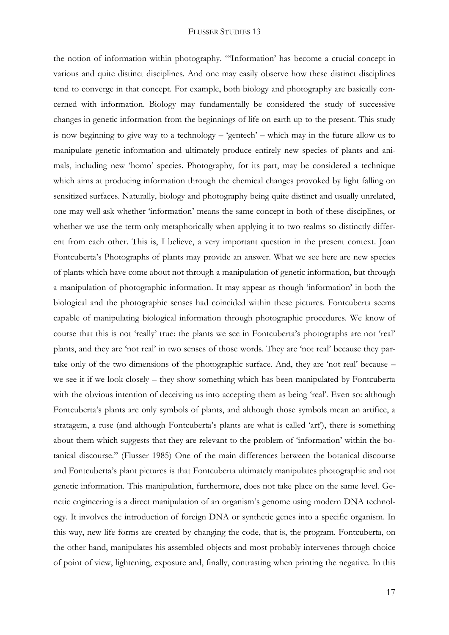the notion of information within photography. "'Information' has become a crucial concept in various and quite distinct disciplines. And one may easily observe how these distinct disciplines tend to converge in that concept. For example, both biology and photography are basically concerned with information. Biology may fundamentally be considered the study of successive changes in genetic information from the beginnings of life on earth up to the present. This study is now beginning to give way to a technology – 'gentech' – which may in the future allow us to manipulate genetic information and ultimately produce entirely new species of plants and animals, including new 'homo' species. Photography, for its part, may be considered a technique which aims at producing information through the chemical changes provoked by light falling on sensitized surfaces. Naturally, biology and photography being quite distinct and usually unrelated, one may well ask whether 'information' means the same concept in both of these disciplines, or whether we use the term only metaphorically when applying it to two realms so distinctly different from each other. This is, I believe, a very important question in the present context. Joan Fontcuberta's Photographs of plants may provide an answer. What we see here are new species of plants which have come about not through a manipulation of genetic information, but through a manipulation of photographic information. It may appear as though 'information' in both the biological and the photographic senses had coincided within these pictures. Fontcuberta seems capable of manipulating biological information through photographic procedures. We know of course that this is not 'really' true: the plants we see in Fontcuberta's photographs are not 'real' plants, and they are 'not real' in two senses of those words. They are 'not real' because they partake only of the two dimensions of the photographic surface. And, they are 'not real' because – we see it if we look closely – they show something which has been manipulated by Fontcuberta with the obvious intention of deceiving us into accepting them as being 'real'. Even so: although Fontcuberta's plants are only symbols of plants, and although those symbols mean an artifice, a stratagem, a ruse (and although Fontcuberta's plants are what is called 'art'), there is something about them which suggests that they are relevant to the problem of 'information' within the botanical discourse." (Flusser 1985) One of the main differences between the botanical discourse and Fontcuberta's plant pictures is that Fontcuberta ultimately manipulates photographic and not genetic information. This manipulation, furthermore, does not take place on the same level. Genetic engineering is a direct manipulation of an organism's [genome](http://en.wikipedia.org/wiki/Genome) using modern DNA technology. It involves the introduction of [foreign DNA](http://en.wikipedia.org/wiki/Recombinant_DNA) or [synthetic genes](http://en.wikipedia.org/wiki/Artificial_gene_synthesis) into a specific organism. In this way, new life forms are created by changing the code, that is, the program. Fontcuberta, on the other hand, manipulates his assembled objects and most probably intervenes through choice of point of view, lightening, exposure and, finally, contrasting when printing the negative. In this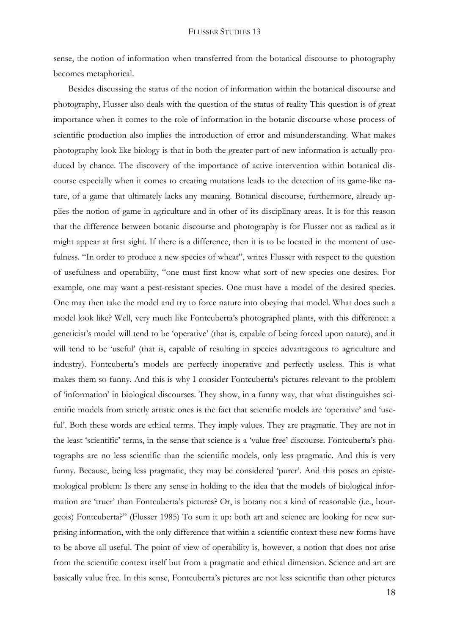sense, the notion of information when transferred from the botanical discourse to photography becomes metaphorical.

Besides discussing the status of the notion of information within the botanical discourse and photography, Flusser also deals with the question of the status of reality This question is of great importance when it comes to the role of information in the botanic discourse whose process of scientific production also implies the introduction of error and misunderstanding. What makes photography look like biology is that in both the greater part of new information is actually produced by chance. The discovery of the importance of active intervention within botanical discourse especially when it comes to creating mutations leads to the detection of its game-like nature, of a game that ultimately lacks any meaning. Botanical discourse, furthermore, already applies the notion of game in agriculture and in other of its disciplinary areas. It is for this reason that the difference between botanic discourse and photography is for Flusser not as radical as it might appear at first sight. If there is a difference, then it is to be located in the moment of usefulness. "In order to produce a new species of wheat", writes Flusser with respect to the question of usefulness and operability, "one must first know what sort of new species one desires. For example, one may want a pest-resistant species. One must have a model of the desired species. One may then take the model and try to force nature into obeying that model. What does such a model look like? Well, very much like Fontcuberta's photographed plants, with this difference: a geneticist's model will tend to be 'operative' (that is, capable of being forced upon nature), and it will tend to be 'useful' (that is, capable of resulting in species advantageous to agriculture and industry). Fontcuberta's models are perfectly inoperative and perfectly useless. This is what makes them so funny. And this is why I consider Fontcuberta's pictures relevant to the problem of 'information' in biological discourses. They show, in a funny way, that what distinguishes scientific models from strictly artistic ones is the fact that scientific models are 'operative' and 'useful'. Both these words are ethical terms. They imply values. They are pragmatic. They are not in the least 'scientific' terms, in the sense that science is a 'value free' discourse. Fontcuberta's photographs are no less scientific than the scientific models, only less pragmatic. And this is very funny. Because, being less pragmatic, they may be considered 'purer'. And this poses an epistemological problem: Is there any sense in holding to the idea that the models of biological information are 'truer' than Fontcuberta's pictures? Or, is botany not a kind of reasonable (i.e., bourgeois) Fontcuberta?" (Flusser 1985) To sum it up: both art and science are looking for new surprising information, with the only difference that within a scientific context these new forms have to be above all useful. The point of view of operability is, however, a notion that does not arise from the scientific context itself but from a pragmatic and ethical dimension. Science and art are basically value free. In this sense, Fontcuberta's pictures are not less scientific than other pictures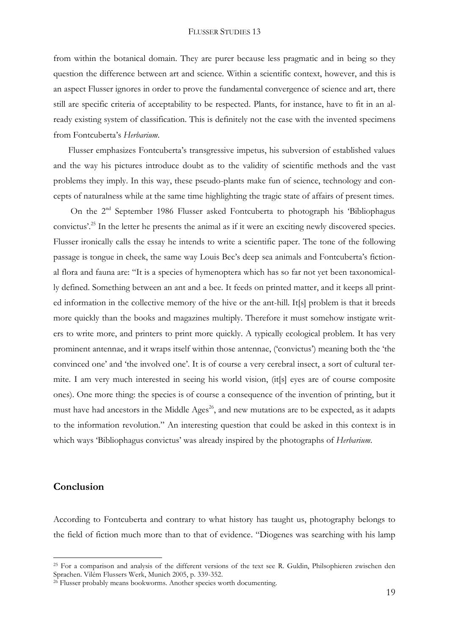from within the botanical domain. They are purer because less pragmatic and in being so they question the difference between art and science. Within a scientific context, however, and this is an aspect Flusser ignores in order to prove the fundamental convergence of science and art, there still are specific criteria of acceptability to be respected. Plants, for instance, have to fit in an already existing system of classification. This is definitely not the case with the invented specimens from Fontcuberta's *Herbarium*.

Flusser emphasizes Fontcuberta's transgressive impetus, his subversion of established values and the way his pictures introduce doubt as to the validity of scientific methods and the vast problems they imply. In this way, these pseudo-plants make fun of science, technology and concepts of naturalness while at the same time highlighting the tragic state of affairs of present times.

On the 2<sup>nd</sup> September 1986 Flusser asked Fontcuberta to photograph his 'Bibliophagus' convictus'.<sup>25</sup> In the letter he presents the animal as if it were an exciting newly discovered species. Flusser ironically calls the essay he intends to write a scientific paper. The tone of the following passage is tongue in cheek, the same way Louis Bec's deep sea animals and Fontcuberta's fictional flora and fauna are: "It is a species of hymenoptera which has so far not yet been taxonomically defined. Something between an ant and a bee. It feeds on printed matter, and it keeps all printed information in the collective memory of the hive or the ant-hill. It[s] problem is that it breeds more quickly than the books and magazines multiply. Therefore it must somehow instigate writers to write more, and printers to print more quickly. A typically ecological problem. It has very prominent antennae, and it wraps itself within those antennae, ('convictus') meaning both the 'the convinced one' and 'the involved one'. It is of course a very cerebral insect, a sort of cultural termite. I am very much interested in seeing his world vision, (it[s] eyes are of course composite ones). One more thing: the species is of course a consequence of the invention of printing, but it must have had ancestors in the Middle Ages<sup>26</sup>, and new mutations are to be expected, as it adapts to the information revolution." An interesting question that could be asked in this context is in which ways 'Bibliophagus convictus' was already inspired by the photographs of *Herbarium*.

## **Conclusion**

1

According to Fontcuberta and contrary to what history has taught us, photography belongs to the field of fiction much more than to that of evidence. "Diogenes was searching with his lamp

<sup>&</sup>lt;sup>25</sup> For a comparison and analysis of the different versions of the text see R. Guldin, Philsophieren zwischen den Sprachen. Vilém Flussers Werk, Munich 2005, p. 339-352.

<sup>&</sup>lt;sup>26</sup> Flusser probably means bookworms. Another species worth documenting.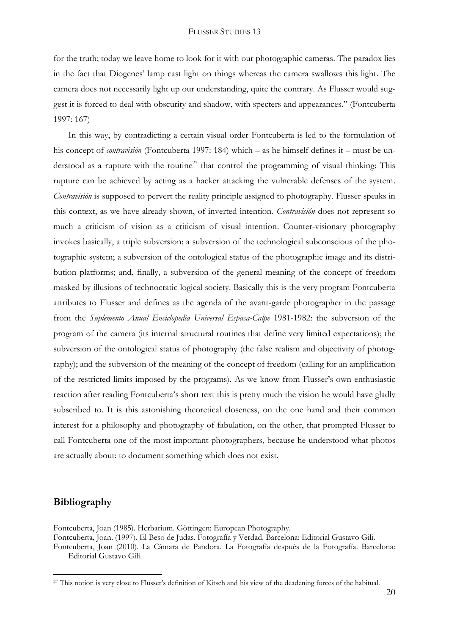for the truth; today we leave home to look for it with our photographic cameras. The paradox lies in the fact that Diogenes' lamp cast light on things whereas the camera swallows this light. The camera does not necessarily light up our understanding, quite the contrary. As Flusser would suggest it is forced to deal with obscurity and shadow, with specters and appearances." (Fontcuberta 1997: 167)

In this way, by contradicting a certain visual order Fontcuberta is led to the formulation of his concept of *contravisión* (Fontcuberta 1997: 184) which – as he himself defines it – must be understood as a rupture with the routine<sup>27</sup> that control the programming of visual thinking: This rupture can be achieved by acting as a hacker attacking the vulnerable defenses of the system. *Contravisión* is supposed to pervert the reality principle assigned to photography. Flusser speaks in this context, as we have already shown, of inverted intention. *Contravisión* does not represent so much a criticism of vision as a criticism of visual intention. Counter-visionary photography invokes basically, a triple subversion: a subversion of the technological subconscious of the photographic system; a subversion of the ontological status of the photographic image and its distribution platforms; and, finally, a subversion of the general meaning of the concept of freedom masked by illusions of technocratic logical society. Basically this is the very program Fontcuberta attributes to Flusser and defines as the agenda of the avant-garde photographer in the passage from the *Suplemento Anual Enciclopedia Universal Espasa-Calpe* 1981-1982: the subversion of the program of the camera (its internal structural routines that define very limited expectations); the subversion of the ontological status of photography (the false realism and objectivity of photography); and the subversion of the meaning of the concept of freedom (calling for an amplification of the restricted limits imposed by the programs). As we know from Flusser's own enthusiastic reaction after reading Fontcuberta's short text this is pretty much the vision he would have gladly subscribed to. It is this astonishing theoretical closeness, on the one hand and their common interest for a philosophy and photography of fabulation, on the other, that prompted Flusser to call Fontcuberta one of the most important photographers, because he understood what photos are actually about: to document something which does not exist.

# **Bibliography**

**.** 

Fontcuberta, Joan (1985). Herbarium. Göttingen: European Photography.

Fontcuberta, Joan. (1997). El Beso de Judas. Fotografía y Verdad. Barcelona: Editorial Gustavo Gili. Fontcuberta, Joan (2010). La Cámara de Pandora. La Fotografía después de la Fotografía. Barcelona: Editorial Gustavo Gili.

<sup>27</sup> This notion is very close to Flusser's definition of Kitsch and his view of the deadening forces of the habitual.